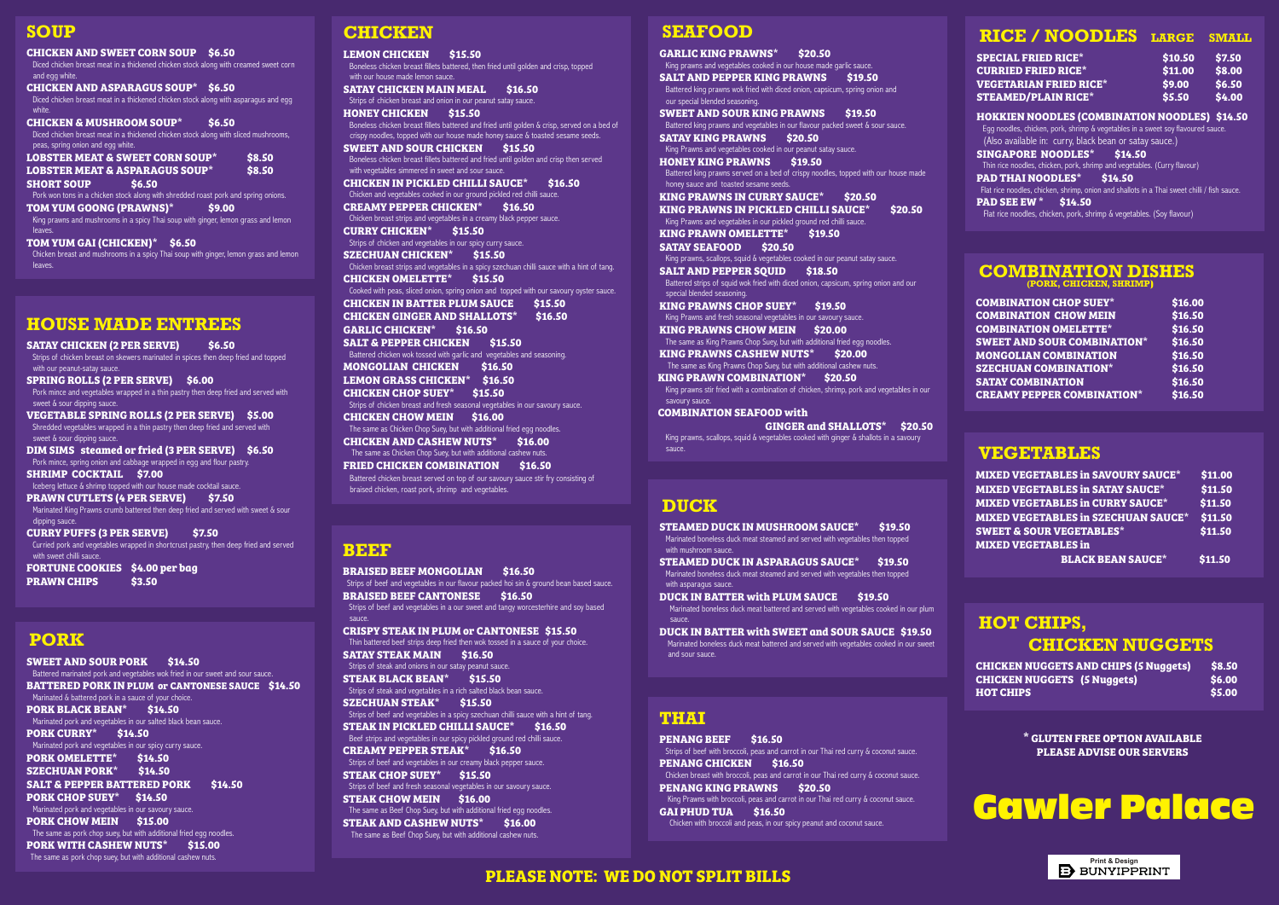#### **SOUP**

**CHICKEN AND SWEET CORN SOUP \$6.50** Diced chicken breast meat in a thickened chicken stock along with creamed sweet corn and egg white. **CHICKEN AND ASPARAGUS SOUP\* \$6.50** Diced chicken breast meat in a thickened chicken stock along with asparagus and egg white. **CHICKEN & MUSHROOM SOUP\* \$6.50** Diced chicken breast meat in a thickened chicken stock along with sliced mushrooms, peas, spring onion and egg white. **LOBSTER MEAT & SWEET CORN SOUP\* \$8.50 LOBSTER MEAT & ASPARAGUS SOUP\* \$8.50 SHORT SOUP \$6.50** Pork won tons in a chicken stock along with shredded roast pork and spring onions. TOM YUM GOONG (PRAWNS)<sup>\*</sup> \$9.00 King prawns and mushrooms in a spicy Thai soup with ginger, lemon grass and lemon leaves. **TOM YUM GAI (CHICKEN)\* \$6.50** Chicken breast and mushrooms in a spicy Thai soup with ginger, lemon grass and lemon leaves.

#### **HOUSE MADE ENTREES**

**SATAY CHICKEN (2 PER SERVE) \$6.50** Strips of chicken breast on skewers marinated in spices then deep fried and topped with our peanut-satay sauce. **SPRING ROLLS (2 PER SERVE) \$6.00** Pork mince and vegetables wrapped in a thin pastry then deep fried and served with sweet & sour dipping sauce **VEGETABLE SPRING ROLLS (2 PER SERVE) \$5.00** Shredded vegetables wrapped in a thin pastry then deep fried and served with sweet & sour dipping sauce. **DIM SIMS steamed or fried (3 PER SERVE) \$6.50** Pork mince, spring onion and cabbage wrapped in egg and flour pastry. **SHRIMP COCKTAIL \$7.00** Iceberg lettuce & shrimp topped with our house made cocktail sauce. **PRAWN CUTLETS (4 PER SERVE) \$7.50** Marinated King Prawns crumb battered then deep fried and served with sweet & sour dipping sauce. **CURRY PUFFS (3 PER SERVE) \$7.50** Curried pork and vegetables wrapped in shortcrust pastry, then deep fried and served with sweet chilli sauce. **FORTUNE COOKIES \$4.00 per bag PRAWN CHIPS \$3.50**

#### **PORK**

**SWEET AND SOUR PORK \$14.50** Battered marinated pork and vegetables wok fried in our sweet and sour sauce. **BATTERED PORK IN PLUM or CANTONESE SAUCE \$14.50** Marinated & battered pork in a sauce of your choice. **PORK BLACK BEAN\* \$14.50** Marinated pork and vegetables in our salted black bean sauce. **PORK CURRY\* \$14.50** Marinated pork and vegetables in our spicy curry sauce. **PORK OMELETTE\* \$14.50 SZECHUAN PORK\* \$14.50 SALT & PEPPER BATTERED PORK \$14.50 PORK CHOP SUEY\* \$14.50** Marinated pork and vegetables in our savoury sauce. **PORK CHOW MEIN \$15.00** The same as pork chop suey, but with additional fried egg noodles. **PORK WITH CASHEW NUTS\* \$15.00** The same as pork chop suey, but with additional cashew nuts.

#### **BEEF**

**BRAISED BEEF MONGOLIAN \$16.50** Strips of beef and vegetables in our flavour packed hoi sin & ground bean based sauce. **BRAISED BEEF CANTONESE \$16.50**  Strips of beef and vegetables in a our sweet and tangy worcesterhire and soy based sauce. **CRISPY STEAK IN PLUM or CANTONESE \$15.50** Thin battered beef strips deep fried then wok tossed in a sauce of your choice. **SATAY STEAK MAIN \$16.50** Strips of steak and onions in our satay peanut sauce. **STEAK BLACK BEAN\* \$15.50** Strips of steak and vegetables in a rich salted black bean sauce. **SZECHUAN STEAK\* \$15.50** Strips of beef and vegetables in a spicy szechuan chilli sauce with a hint of tang. **STEAK IN PICKLED CHILLI SAUCE\* \$16.50** Beef strips and vegetables in our spicy pickled ground red chilli sauce. **CREAMY PEPPER STEAK\* \$16.50** Strips of beef and vegetables in our creamy black pepper sauce. **STEAK CHOP SUEY\* \$15.50** Strips of beef and fresh seasonal vegetables in our savoury sauce. **STEAK CHOW MEIN \$16.00** The same as Beef Chop Suey, but with additional fried egg noodles. **STEAK AND CASHEW NUTS\* \$16.00**

The same as Beef Chop Suey, but with additional cashew nuts.

#### **CHICKEN**

**STEAMED DUCK IN ASPARAGUS SAUCE\* \$19.50** Marinated boneless duck meat steamed and served with vegetables then topped with asparagus sauce.

**PENANG BEEF \$16.50** Strips of beef with broccoli, peas and carrot in our Thai red curry & coconut sauce. **PENANG CHICKEN \$16.50** Chicken breast with broccoli, peas and carrot in our Thai red curry & coconut sauce. **PENANG KING PRAWNS \$20.50** King Prawns with broccoli, peas and carrot in our Thai red curry & coconut sauce. **GAI PHUD TUA \$16.50** Chicken with broccoli and peas, in our spicy peanut and coconut sauce.

**LEMON CHICKEN \$15.50** Boneless chicken breast fillets battered, then fried until golden and crisp, topped with our house made lemon sauce. **SATAY CHICKEN MAIN MEAL \$16.50** Strips of chicken breast and onion in our peanut satay sauce **HONEY CHICKEN \$15.50** Boneless chicken breast fillets battered and fried until golden & crisp, served on a bed of crispy noodles, topped with our house made honey sauce & toasted sesame seeds. **SWEET AND SOUR CHICKEN \$15.50** Boneless chicken breast fillets battered and fried until golden and crisp then served with vegetables simmered in sweet and sour sauce. **CHICKEN IN PICKLED CHILLI SAUCE\* \$16.50** Chicken and vegetables cooked in our ground pickled red chilli sauce. **CREAMY PEPPER CHICKEN\* \$16.50**  Chicken breast strips and vegetables in a creamy black pepper sauce. **CURRY CHICKEN\* \$15.50** Strips of chicken and vegetables in our spicy curry sauce. **SZECHUAN CHICKEN\* \$15.50** Chicken breast strips and vegetables in a spicy szechuan chilli sauce with a hint of tang. **CHICKEN OMELETTE\* \$15.50** Cooked with peas, sliced onion, spring onion and topped with our savoury oyster sauce. **CHICKEN IN BATTER PLUM SAUCE \$15.50 CHICKEN GINGER AND SHALLOTS\* \$16.50 GARLIC CHICKEN\* \$16.50 SALT & PEPPER CHICKEN \$15.50** Battered chicken wok tossed with garlic and vegetables and seasoning. **MONGOLIAN CHICKEN \$16.50 LEMON GRASS CHICKEN\* \$16.50 CHICKEN CHOP SUEY\* \$15.50** Strips of chicken breast and fresh seasonal vegetables in our savoury sauce. **CHICKEN CHOW MEIN \$16.00** The same as Chicken Chop Suey, but with additional fried egg noodles. **CHICKEN AND CASHEW NUTS\* \$16.00** The same as Chicken Chop Suey, but with additional cashew nuts. **FRIED CHICKEN COMBINATION \$16.50** Battered chicken breast served on top of our savoury sauce stir fry consisting of

braised chicken, roast pork, shrimp and vegetables.

#### **COMBINATION DISHES (PORK, CHICKEN, SHRIMP**)

| <b>COMBINATION CHOP SUEY*</b>      | \$16.00 |
|------------------------------------|---------|
| <b>COMBINATION CHOW MEIN</b>       | \$16.50 |
| <b>COMBINATION OMELETTE*</b>       | \$16.50 |
| <b>SWEET AND SOUR COMBINATION*</b> | \$16.50 |
| <b>MONGOLIAN COMBINATION</b>       | \$16.50 |
| <b>SZECHUAN COMBINATION*</b>       | \$16.50 |
| <b>SATAY COMBINATION</b>           | \$16.50 |
| <b>CREAMY PEPPER COMBINATION*</b>  | \$16.50 |

#### **VEGETABLES**

| <b>MIXED VEGETABLES in SAVOURY SAUCE*</b>  | \$11.00 |
|--------------------------------------------|---------|
| <b>MIXED VEGETABLES in SATAY SAUCE*</b>    | \$11.50 |
| <b>MIXED VEGETABLES in CURRY SAUCE*</b>    | \$11.50 |
| <b>MIXED VEGETABLES in SZECHUAN SAUCE*</b> | \$11.50 |
| <b>SWEET &amp; SOUR VEGETABLES*</b>        | \$11.50 |
| <b>MIXED VEGETABLES in</b>                 |         |
| <b>BLACK BEAN SAUCE*</b>                   | \$11.50 |

| <b>RICE / NOODLES</b>                                                                                                                                                                             | <b>LARGE</b> | <b>SMALL</b> |
|---------------------------------------------------------------------------------------------------------------------------------------------------------------------------------------------------|--------------|--------------|
| <b>SPECIAL FRIED RICE*</b>                                                                                                                                                                        | \$10.50      | \$7.50       |
| <b>CURRIED FRIED RICE*</b>                                                                                                                                                                        | \$11.00      | \$8.00       |
| <b>VEGETARIAN FRIED RICE*</b>                                                                                                                                                                     | \$9.00       | \$6.50       |
| <b>STEAMED/PLAIN RICE*</b>                                                                                                                                                                        | \$5.50       | \$4.00       |
| <b>HOKKIEN NOODLES (COMBINATION NOODLES) \$14.50</b><br>Egg noodles, chicken, pork, shrimp & vegetables in a sweet soy flavoured sauce.<br>(Also available in: curry, black bean or satay sauce.) |              |              |
| <b>SINGAPORE NOODLES*</b><br>\$14.50                                                                                                                                                              |              |              |
| Thin rice noodles, chicken, pork, shrimp and vegetables. (Curry flavour)                                                                                                                          |              |              |
| <b>PAD THAI NOODLES* \$14.50</b>                                                                                                                                                                  |              |              |
| Flat rice noodles, chicken, shrimp, onion and shallots in a Thai sweet chilli / fish sauce.                                                                                                       |              |              |
| <b>PAD SEE EW*</b><br>\$14.50                                                                                                                                                                     |              |              |

Flat rice noodles, chicken, pork, shrimp & vegetables. (Soy flavour)

#### **HOT CHIPS, CHICKEN NUGGETS**

| <b>CHICKEN NUGGETS AND CHIPS (5 Nuggets)</b> | <b>S8.50</b> |
|----------------------------------------------|--------------|
| <b>CHICKEN NUGGETS</b> (5 Nuggets)           | <b>S6.00</b> |
| <b>HOT CHIPS</b>                             | <b>S5.00</b> |

#### **SEAFOOD**

**GARLIC KING PRAWNS\* \$20.50** King prawns and vegetables cooked in our house made garlic sauce. **SALT AND PEPPER KING PRAWNS \$19.50**  Battered king prawns wok fried with diced onion, capsicum, spring onion and our special blended seasoning. **SWEET AND SOUR KING PRAWNS \$19.50** Battered king prawns and vegetables in our flavour packed sweet & sour sauce. **SATAY KING PRAWNS \$20.50** King Prawns and vegetables cooked in our peanut satay sauce. **HONEY KING PRAWNS \$19.50** Battered king prawns served on a bed of crispy noodles, topped with our house made honey sauce and toasted sesame seeds. **KING PRAWNS IN CURRY SAUCE\* \$20.50 KING PRAWNS IN PICKLED CHILLI SAUCE\* \$20.50** King Prawns and vegetables in our pickled ground red chilli sauce. **KING PRAWN OMELETTE\* \$19.50 SATAY SEAFOOD \$20.50** King prawns, scallops, squid & vegetables cooked in our peanut satay sauce. **SALT AND PEPPER SQUID \$18.50** Battered strips of squid wok fried with diced onion, capsicum, spring onion and our special blended seasoning. **KING PRAWNS CHOP SUEY\* \$19.50** King Prawns and fresh seasonal vegetables in our savoury sauce. **KING PRAWNS CHOW MEIN \$20.00** The same as King Prawns Chop Suey, but with additional fried egg noodles. **KING PRAWNS CASHEW NUTS\* \$20.00** The same as King Prawns Chop Suey, but with additional cashew nuts. **KING PRAWN COMBINATION\* \$20.50** King prawns stir fried with a combination of chicken, shrimp, pork and vegetables in our savoury sauce. **COMBINATION SEAFOOD with GINGER and SHALLOTS\* \$20.50** King prawns, scallops, squid & vegetables cooked with ginger & shallots in a savoury sauce.

#### **DUCK**

**STEAMED DUCK IN MUSHROOM SAUCE\* \$19.50** Marinated boneless duck meat steamed and served with vegetables then topped with mushroom sauce.

**DUCK IN BATTER with PLUM SAUCE \$19.50** Marinated boneless duck meat battered and served with vegetables cooked in our plum sauce.

**DUCK IN BATTER with SWEET and SOUR SAUCE \$19.50** Marinated boneless duck meat battered and served with vegetables cooked in our sweet and sour sauce.

#### **THAI**



# Gawler Palace

**\* GLUTEN FREE OPTION AVAILABLE PLEASE ADVISE OUR SERVERS**

#### **PLEASE NOTE: WE DO NOT SPLIT BILLS**